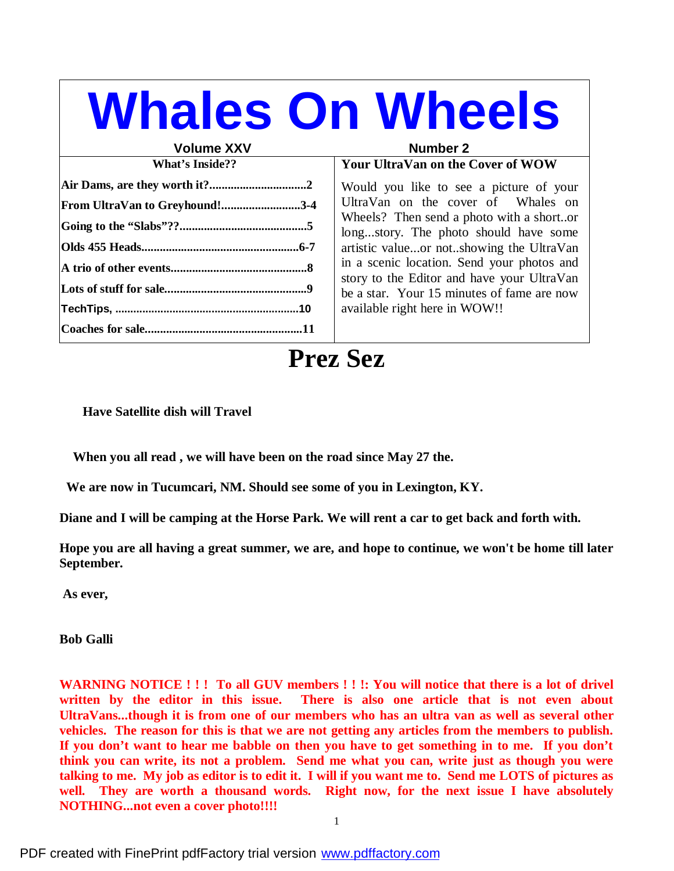# **Whales On Wheels**

#### **Volume XXV**

| <b>What's Inside??</b>         |  |  |
|--------------------------------|--|--|
|                                |  |  |
| From UltraVan to Greyhound!3-4 |  |  |
|                                |  |  |
|                                |  |  |
|                                |  |  |
|                                |  |  |
|                                |  |  |
|                                |  |  |

#### **Your UltraVan on the Cover of WOW**

Would you like to see a picture of your UltraVan on the cover of Whales on Wheels? Then send a photo with a short..or long...story. The photo should have some artistic value...or not..showing the UltraVan in a scenic location. Send your photos and story to the Editor and have your UltraVan be a star. Your 15 minutes of fame are now available right here in WOW!!

## **Prez Sez**

**Have Satellite dish will Travel**

 **When you all read , we will have been on the road since May 27 the.**

 **We are now in Tucumcari, NM. Should see some of you in Lexington, KY.**

Diane and I will be camping at the Horse Park. We will rent a car to get back and forth with.

Hope you are all having a great summer, we are, and hope to continue, we won't be home till later **September.**

**As ever,**

**Bob Galli**

WARNING NOTICE !!! To all GUV members !!!: You will notice that there is a lot of drivel **written by the editor in this issue. There is also one article that is not even about UltraVans...though it is from one of our members who has an ultra van as well as several other vehicles. The reason for this is that we are not getting any articles from the members to publish.** If you don't want to hear me babble on then you have to get something in to me. If you don't **think you can write, its not a problem. Send me what you can, write just as though you were** talking to me. My job as editor is to edit it. I will if you want me to. Send me LOTS of pictures as **well. They are worth a thousand words. Right now, for the next issue I have absolutely NOTHING...not even a cover photo!!!!**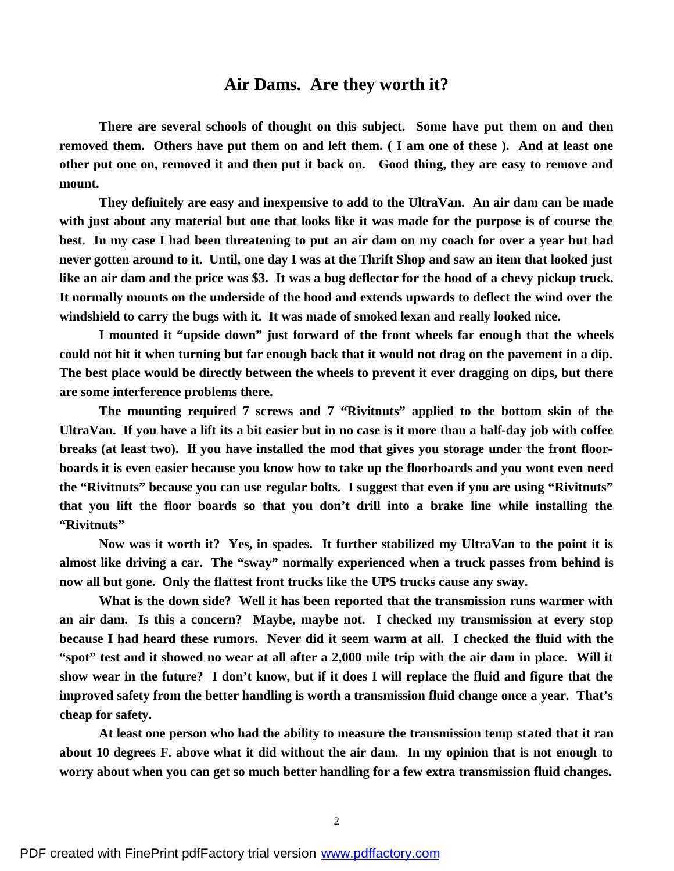#### **Air Dams. Are they worth it?**

**There are several schools of thought on this subject. Some have put them on and then** removed them. Others have put them on and left them. (I am one of these). And at least one other put one on, removed it and then put it back on. Good thing, they are easy to remove and **mount.**

**They definitely are easy and inexpensive to add to the UltraVan. An air dam can be made** with just about any material but one that looks like it was made for the purpose is of course the best. In my case I had been threatening to put an air dam on my coach for over a year but had never gotten around to it. Until, one day I was at the Thrift Shop and saw an item that looked just like an air dam and the price was \$3. It was a bug deflector for the hood of a chevy pickup truck. **It normally mounts on the underside of the hood and extends upwards to deflect the wind over the windshield to carry the bugs with it. It was made of smoked lexan and really looked nice.**

**I mounted it "upside down" just forward of the front wheels far enough that the wheels** could not hit it when turning but far enough back that it would not drag on the pavement in a dip. **The best place would be directly between the wheels to prevent it ever dragging on dips, but there are some interference problems there.**

**The mounting required 7 screws and 7 "Rivitnuts" applied to the bottom skin of the** UltraVan. If you have a lift its a bit easier but in no case is it more than a half-day job with coffee breaks (at least two). If you have installed the mod that gives you storage under the front floorboards it is even easier because you know how to take up the floorboards and you wont even need **the "Rivitnuts" because you can use regular bolts. I suggest that even if you are using "Rivitnuts" that you lift the floor boards so that you don't drill into a brake line while installing the "Rivitnuts"**

**Now was it worth it? Yes, in spades. It further stabilized my UltraVan to the point it is almost like driving a car. The "sway" normally experienced when a truck passes from behind is now all but gone. Only the flattest front trucks like the UPS trucks cause any sway.**

**What is the down side? Well it has been reported that the transmission runs warmer with an air dam. Is this a concern? Maybe, maybe not. I checked my transmission at every stop because I had heard these rumors. Never did it seem warm at all. I checked the fluid with the** "spot" test and it showed no wear at all after a 2,000 mile trip with the air dam in place. Will it show wear in the future? I don't know, but if it does I will replace the fluid and figure that the **improved safety from the better handling is worth a transmission fluid change once a year. That's cheap for safety.**

**At least one person who had the ability to measure the transmission temp stated that it ran** about 10 degrees F, above what it did without the air dam. In my opinion that is not enough to **worry about when you can get so much better handling for a few extra transmission fluid changes.**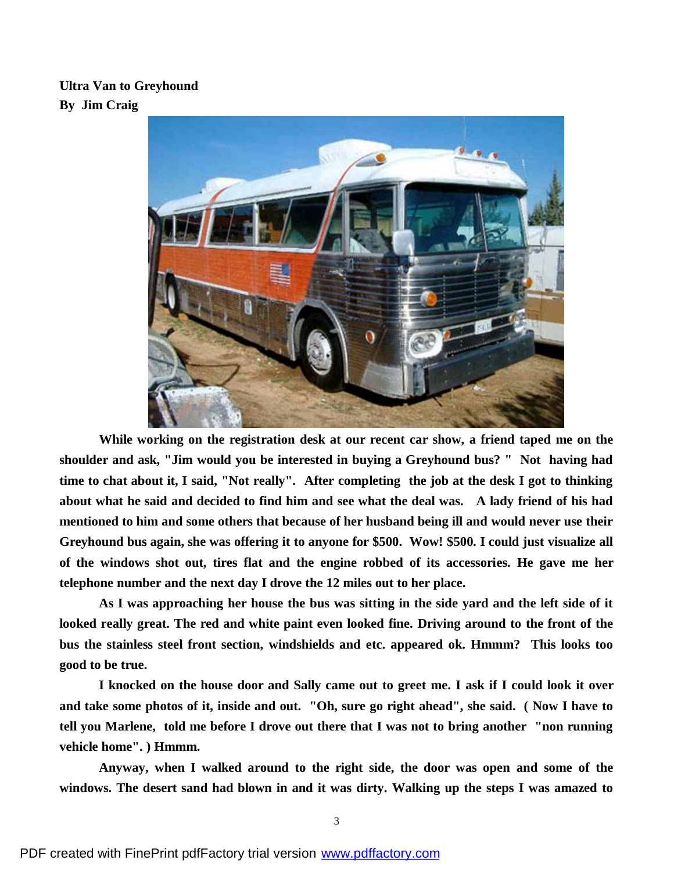#### **Ultra Van to Greyhound By Jim Craig**



**While working on the registration desk at our recent car show, a friend taped me on the shoulder and ask, "Jim would you be interested in buying a Greyhound bus? " Not having had** time to chat about it, I said, "Not really". After completing the job at the desk I got to thinking about what he said and decided to find him and see what the deal was. A lady friend of his had **mentioned to him and some others that because of her husband being ill and would never use their Greyhound bus again, she was offering it to anyone for \$500. Wow! \$500. I could just visualize all of the windows shot out, tires flat and the engine robbed of its accessories. He gave me her telephone number and the next day I drove the 12 miles out to her place.**

As I was approaching her house the bus was sitting in the side yard and the left side of it **looked really great. The red and white paint even looked fine. Driving around to the front of the bus the stainless steel front section, windshields and etc. appeared ok. Hmmm? This looks too good to be true.**

I knocked on the house door and Sally came out to greet me. I ask if I could look it over and take some photos of it, inside and out. "Oh, sure go right ahead", she said. (Now I have to **tell you Marlene, told me before I drove out there that I was not to bring another "non running vehicle home". ) Hmmm.**

**Anyway, when I walked around to the right side, the door was open and some of the** windows. The desert sand had blown in and it was dirty. Walking up the steps I was amazed to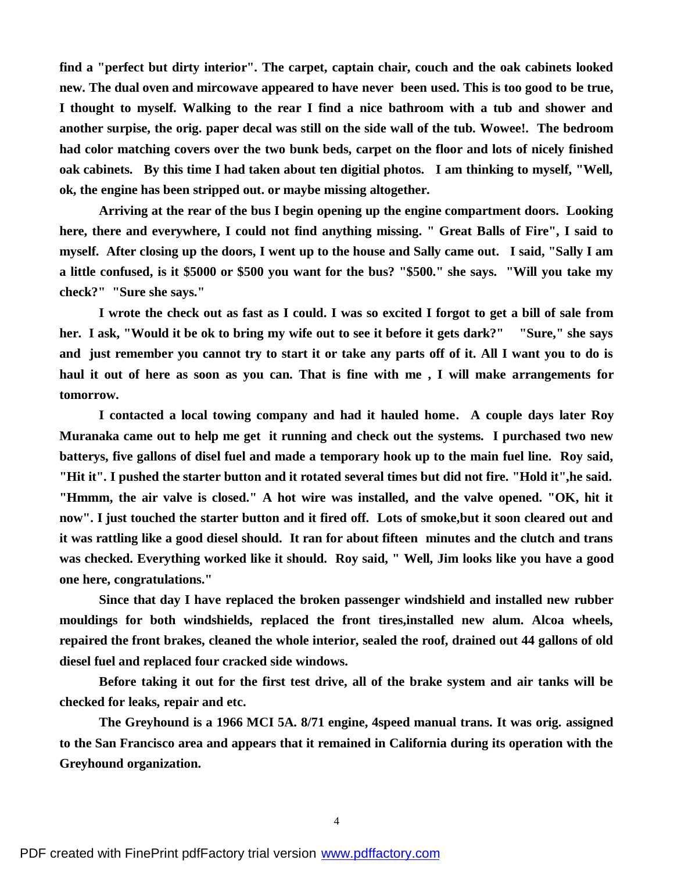**find a "perfect but dirty interior". The carpet, captain chair, couch and the oak cabinets looked new. The dual oven and mircowave appeared to have never been used. This is too good to be true, I thought to myself. Walking to the rear I find a nice bathroom with a tub and shower and another surpise, the orig. paper decal was still on the side wall of the tub. Wowee!. The bedroom had color matching covers over the two bunk beds, carpet on the floor and lots of nicely finished oak cabinets. By this time I had taken about ten digitial photos. I am thinking to myself, "Well, ok, the engine has been stripped out. or maybe missing altogether.**

**Arriving at the rear of the bus I begin opening up the engine compartment doors. Looking here, there and everywhere, I could not find anything missing. " Great Balls of Fire", I said to** myself. After closing up the doors, I went up to the house and Sally came out. I said, "Sally I am a little confused, is it \$5000 or \$500 you want for the bus? "\$500." she says. "Will you take my **check?" "Sure she says."**

I wrote the check out as fast as I could. I was so excited I forgot to get a bill of sale from her. I ask, "Would it be ok to bring my wife out to see it before it gets dark?" "Sure," she says and just remember you cannot try to start it or take any parts off of it. All I want you to do is haul it out of here as soon as you can. That is fine with me, I will make arrangements for **tomorrow.**

**I contacted a local towing company and had it hauled home. A couple days later Roy Muranaka came out to help me get it running and check out the systems. I purchased two new batterys, five gallons of disel fuel and made a temporary hook up to the main fuel line. Roy said, "Hit it". I pushed the starter button and it rotated several times but did not fire. "Hold it",he said. "Hmmm, the air valve is closed." A hot wire was installed, and the valve opened. "OK, hit it** now". I just touched the starter button and it fired off. Lots of smoke, but it soon cleared out and **it was rattling like a good diesel should. It ran for about fifteen minutes and the clutch and trans was checked. Everything worked like it should. Roy said, " Well, Jim looks like you have a good one here, congratulations."**

**Since that day I have replaced the broken passenger windshield and installed new rubber mouldings for both windshields, replaced the front tires,installed new alum. Alcoa wheels, repaired the front brakes, cleaned the whole interior, sealed the roof, drained out 44 gallons of old diesel fuel and replaced four cracked side windows.**

Before taking it out for the first test drive, all of the brake system and air tanks will be **checked for leaks, repair and etc.**

**The Greyhound is a 1966 MCI 5A. 8/71 engine, 4speed manual trans. It was orig. assigned to the San Francisco area and appears that it remained in California during its operation with the Greyhound organization.**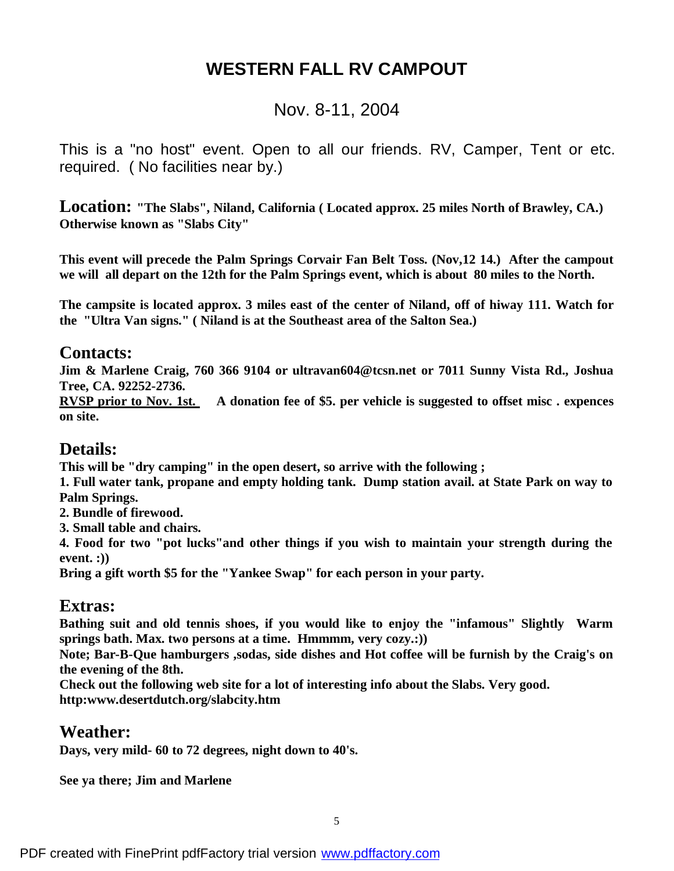## **WESTERN FALL RV CAMPOUT**

## Nov. 8-11, 2004

This is a "no host" event. Open to all our friends. RV, Camper, Tent or etc. required. ( No facilities near by.)

**Location: "The Slabs", Niland, California ( Located approx. 25 miles North of Brawley, CA.) Otherwise known as "Slabs City"**

**This event will precede the Palm Springs Corvair Fan Belt Toss. (Nov,12 14.) After the campout we will all depart on the 12th for the Palm Springs event, which is about 80 miles to the North.**

The campsite is located approx. 3 miles east of the center of Niland, off of hiway 111. Watch for **the "Ultra Van signs." ( Niland is at the Southeast area of the Salton Sea.)**

## **Contacts:**

**Jim & Marlene Craig, 760 366 9104 or ultravan604@tcsn.net or 7011 Sunny Vista Rd., Joshua Tree, CA. 92252-2736.**

**RVSP prior to Nov. 1st. A donation fee of \$5. per vehicle is suggested to offset misc . expences on site.**

## **Details:**

**This will be "dry camping" in the open desert, so arrive with the following ;**

**1. Full water tank, propane and empty holding tank. Dump station avail. at State Park on way to Palm Springs.**

**2. Bundle of firewood.**

**3. Small table and chairs.**

**4. Food for two "pot lucks"and other things if you wish to maintain your strength during the event. :))**

**Bring a gift worth \$5 for the "Yankee Swap" for each person in your party.**

## **Extras:**

**Bathing suit and old tennis shoes, if you would like to enjoy the "infamous" Slightly Warm springs bath. Max. two persons at a time. Hmmmm, very cozy.:))**

**Note; Bar-B-Que hamburgers ,sodas, side dishes and Hot coffee will be furnish by the Craig's on the evening of the 8th.**

**Check out the following web site for a lot of interesting info about the Slabs. Very good. http:www.desertdutch.org/slabcity.htm**

## **Weather:**

**Days, very mild- 60 to 72 degrees, night down to 40's.**

**See ya there; Jim and Marlene**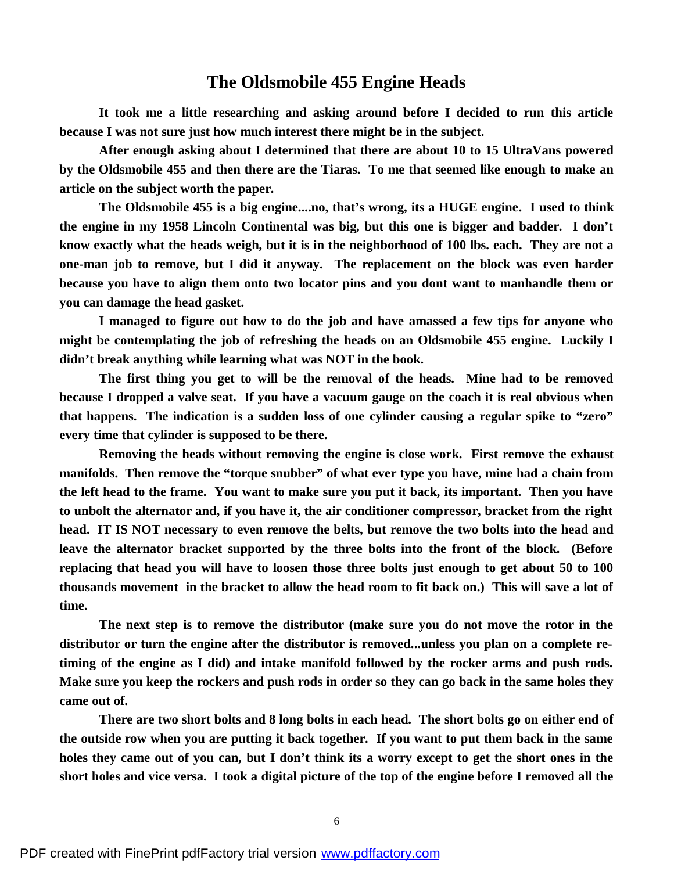#### **The Oldsmobile 455 Engine Heads**

**It took me a little researching and asking around before I decided to run this article because I was not sure just how much interest there might be in the subject.**

**After enough asking about I determined that there are about 10 to 15 UltraVans powered by the Oldsmobile 455 and then there are the Tiaras. To me that seemed like enough to make an article on the subject worth the paper.**

**The Oldsmobile 455 is a big engine....no, that's wrong, its a HUGE engine. I used to think the engine in my 1958 Lincoln Continental was big, but this one is bigger and badder. I don't know exactly what the heads weigh, but it is in the neighborhood of 100 lbs. each. They are not a one-man job to remove, but I did it anyway. The replacement on the block was even harder because you have to align them onto two locator pins and you dont want to manhandle them or you can damage the head gasket.**

**I managed to figure out how to do the job and have amassed a few tips for anyone who might be contemplating the job of refreshing the heads on an Oldsmobile 455 engine. Luckily I didn't break anything while learning what was NOT in the book.**

**The first thing you get to will be the removal of the heads. Mine had to be removed** because I dropped a valve seat. If you have a vacuum gauge on the coach it is real obvious when **that happens. The indication is a sudden loss of one cylinder causing a regular spike to "zero" every time that cylinder is supposed to be there.**

**Removing the heads without removing the engine is close work. First remove the exhaust manifolds. Then remove the "torque snubber" of what ever type you have, mine had a chain from** the left head to the frame. You want to make sure you put it back, its important. Then you have **to unbolt the alternator and, if you have it, the air conditioner compressor, bracket from the right** head. IT IS NOT necessary to even remove the belts, but remove the two bolts into the head and **leave the alternator bracket supported by the three bolts into the front of the block. (Before** replacing that head you will have to loosen those three bolts just enough to get about 50 to 100 thousands movement in the bracket to allow the head room to fit back on.) This will save a lot of **time.**

**The next step is to remove the distributor (make sure you do not move the rotor in the distributor or turn the engine after the distributor is removed...unless you plan on a complete retiming of the engine as I did) and intake manifold followed by the rocker arms and push rods.** Make sure you keep the rockers and push rods in order so they can go back in the same holes they **came out of.**

There are two short bolts and 8 long bolts in each head. The short bolts go on either end of the outside row when you are putting it back together. If you want to put them back in the same holes they came out of you can, but I don't think its a worry except to get the short ones in the short holes and vice versa. I took a digital picture of the top of the engine before I removed all the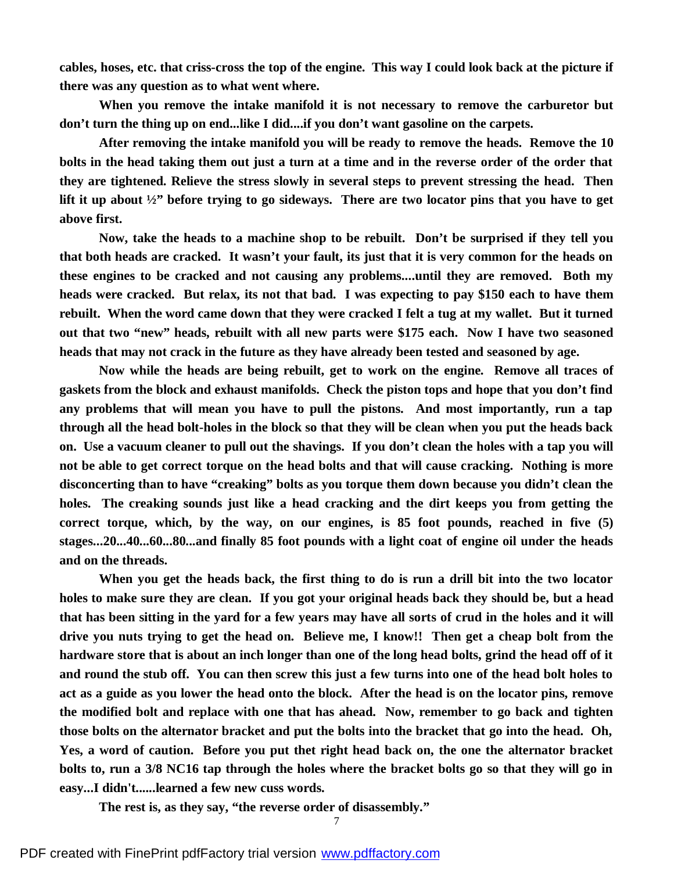cables, hoses, etc. that criss-cross the top of the engine. This way I could look back at the picture if **there was any question as to what went where.**

**When you remove the intake manifold it is not necessary to remove the carburetor but don't turn the thing up on end...like I did....if you don't want gasoline on the carpets.**

**After removing the intake manifold you will be ready to remove the heads. Remove the 10** bolts in the head taking them out just a turn at a time and in the reverse order of the order that **they are tightened. Relieve the stress slowly in several steps to prevent stressing the head. Then** lift it up about  $\frac{1}{2}$  before trying to go sideways. There are two locator pins that you have to get **above first.**

**Now, take the heads to a machine shop to be rebuilt. Don't be surprised if they tell you** that both heads are cracked. It wasn't your fault, its just that it is very common for the heads on **these engines to be cracked and not causing any problems....until they are removed. Both my** heads were cracked. But relax, its not that bad. I was expecting to pay \$150 each to have them **rebuilt. When the word came down that they were cracked I felt a tug at my wallet. But it turned out that two "new" heads, rebuilt with all new parts were \$175 each. Now I have two seasoned heads that may not crack in the future as they have already been tested and seasoned by age.**

**Now while the heads are being rebuilt, get to work on the engine. Remove all traces of gaskets from the block and exhaust manifolds. Check the piston tops and hope that you don't find any problems that will mean you have to pull the pistons. And most importantly, run a tap** through all the head bolt-holes in the block so that they will be clean when you put the heads back on. Use a vacuum cleaner to pull out the shavings. If you don't clean the holes with a tap you will **not be able to get correct torque on the head bolts and that will cause cracking. Nothing is more disconcerting than to have "creaking" bolts as you torque them down because you didn't clean the holes. The creaking sounds just like a head cracking and the dirt keeps you from getting the correct torque, which, by the way, on our engines, is 85 foot pounds, reached in five (5) stages...20...40...60...80...and finally 85 foot pounds with a light coat of engine oil under the heads and on the threads.**

When you get the heads back, the first thing to do is run a drill bit into the two locator holes to make sure they are clean. If you got your original heads back they should be, but a head that has been sitting in the yard for a few years may have all sorts of crud in the holes and it will drive you nuts trying to get the head on. Believe me, I know!! Then get a cheap bolt from the hardware store that is about an inch longer than one of the long head bolts, grind the head off of it and round the stub off. You can then screw this just a few turns into one of the head bolt holes to act as a guide as you lower the head onto the block. After the head is on the locator pins, remove **the modified bolt and replace with one that has ahead. Now, remember to go back and tighten** those bolts on the alternator bracket and put the bolts into the bracket that go into the head. Oh, **Yes, a word of caution. Before you put thet right head back on, the one the alternator bracket** bolts to, run a 3/8 NC16 tap through the holes where the bracket bolts go so that they will go in **easy...I didn't......learned a few new cuss words.**

**The rest is, as they say, "the reverse order of disassembly."**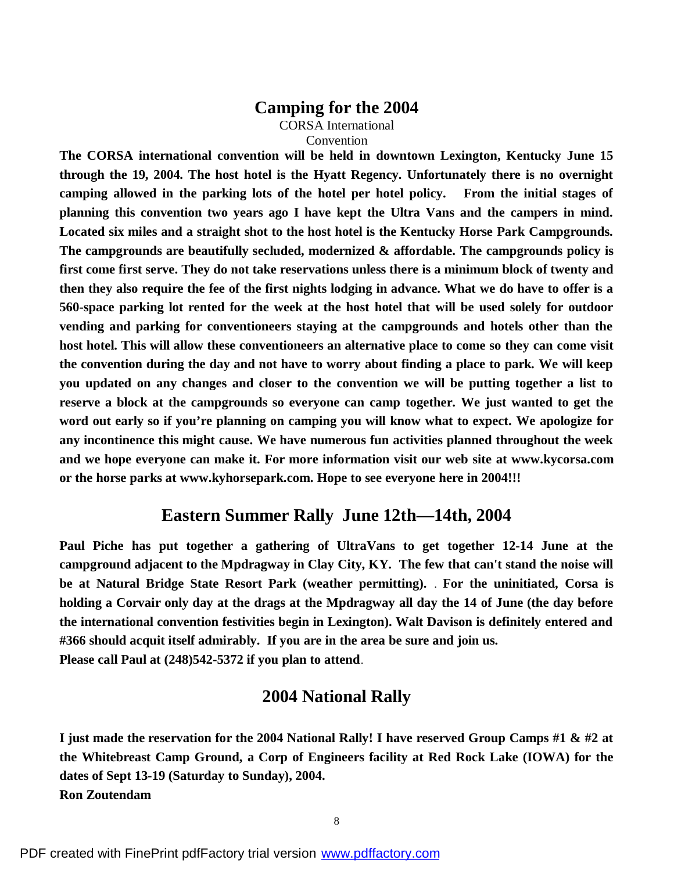#### **Camping for the 2004**

CORSA International Convention

**The CORSA international convention will be held in downtown Lexington, Kentucky June 15 through the 19, 2004. The host hotel is the Hyatt Regency. Unfortunately there is no overnight camping allowed in the parking lots of the hotel per hotel policy. From the initial stages of planning this convention two years ago I have kept the Ultra Vans and the campers in mind. Located six miles and a straight shot to the host hotel is the Kentucky Horse Park Campgrounds. The campgrounds are beautifully secluded, modernized & affordable. The campgrounds policy is first come first serve. They do not take reservations unless there is a minimum block of twenty and** then they also require the fee of the first nights lodging in advance. What we do have to offer is a **560-space parking lot rented for the week at the host hotel that will be used solely for outdoor vending and parking for conventioneers staying at the campgrounds and hotels other than the host hotel. This will allow these conventioneers an alternative place to come so they can come visit** the convention during the day and not have to worry about finding a place to park. We will keep **you updated on any changes and closer to the convention we will be putting together a list to reserve a block at the campgrounds so everyone can camp together. We just wanted to get the word out early so if you're planning on camping you will know what to expect. We apologize for any incontinence this might cause. We have numerous fun activities planned throughout the week and we hope everyone can make it. For more information visit our web site at www.kycorsa.com or the horse parks at www.kyhorsepark.com. Hope to see everyone here in 2004!!!**

### **Eastern Summer Rally June 12th—14th, 2004**

**Paul Piche has put together a gathering of UltraVans to get together 12-14 June at the campground adjacent to the Mpdragway in Clay City, KY. The few that can't stand the noise will be at Natural Bridge State Resort Park (weather permitting).** . **For the uninitiated, Corsa is** holding a Corvair only day at the drags at the Mpdragway all day the 14 of June (the day before **the international convention festivities begin in Lexington). Walt Davison is definitely entered and #366 should acquit itself admirably. If you are in the area be sure and join us. Please call Paul at (248)542-5372 if you plan to attend**.

## **2004 National Rally**

I just made the reservation for the 2004 National Rally! I have reserved Group Camps #1 & #2 at **the Whitebreast Camp Ground, a Corp of Engineers facility at Red Rock Lake (IOWA) for the dates of Sept 13-19 (Saturday to Sunday), 2004. Ron Zoutendam**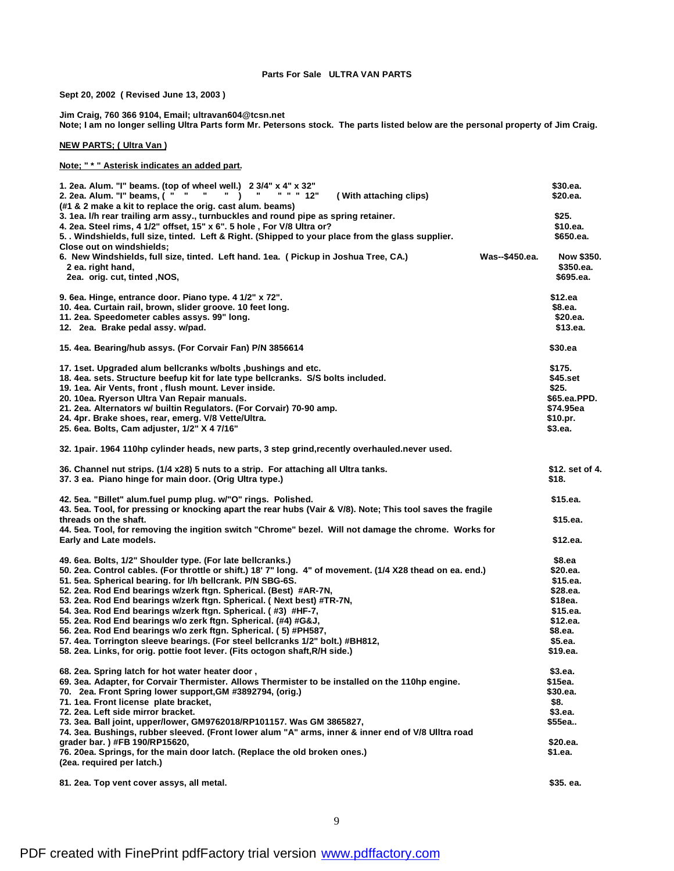#### **Parts For Sale ULTRA VAN PARTS**

**Sept 20, 2002 ( Revised June 13, 2003 )**

**Jim Craig, 760 366 9104, Email; ultravan604@tcsn.net**

Note; I am no longer selling Ultra Parts form Mr. Petersons stock. The parts listed below are the personal property of Jim Craig.

**NEW PARTS; ( Ultra Van )**

**Note; " \* " Asterisk indicates an added part.**

| 1. 2ea. Alum. "I" beams. (top of wheel well.) 2 3/4" x 4" x 32"<br>2. 2ea. Alum. "I" beams, ( " "<br>И.<br>" " " 12"<br>$\rightarrow$<br>(With attaching clips)<br>(#1 & 2 make a kit to replace the orig. cast alum. beams)<br>3. 1ea. I/h rear trailing arm assy., turnbuckles and round pipe as spring retainer.<br>4. 2ea. Steel rims, 4 1/2" offset, 15" x 6". 5 hole, For V/8 Ultra or? |                | \$30.ea.<br>\$20.ea.<br>\$25.<br>\$10.ea. |
|-----------------------------------------------------------------------------------------------------------------------------------------------------------------------------------------------------------------------------------------------------------------------------------------------------------------------------------------------------------------------------------------------|----------------|-------------------------------------------|
| 5. . Windshields, full size, tinted. Left & Right. (Shipped to your place from the glass supplier.                                                                                                                                                                                                                                                                                            |                | \$650.ea.                                 |
| Close out on windshields;<br>6. New Windshields, full size, tinted. Left hand. 1ea. ( Pickup in Joshua Tree, CA.)<br>2 ea. right hand,<br>2ea. orig. cut, tinted , NOS,                                                                                                                                                                                                                       | Was--\$450.ea. | Now \$350.<br>\$350.ea.<br>\$695.ea.      |
| 9. 6ea. Hinge, entrance door. Piano type. 4 1/2" x 72".                                                                                                                                                                                                                                                                                                                                       |                | \$12.ea                                   |
| 10. 4ea. Curtain rail, brown, slider groove. 10 feet long.                                                                                                                                                                                                                                                                                                                                    |                | \$8.ea.                                   |
| 11. 2ea. Speedometer cables assys. 99" long.                                                                                                                                                                                                                                                                                                                                                  |                | \$20.ea.                                  |
| 12. 2ea. Brake pedal assy. w/pad.                                                                                                                                                                                                                                                                                                                                                             |                | \$13.ea.                                  |
| 15. 4ea. Bearing/hub assys. (For Corvair Fan) P/N 3856614                                                                                                                                                                                                                                                                                                                                     |                | \$30.ea                                   |
| 17. 1 set. Upgraded alum belicranks w/bolts, bushings and etc.                                                                                                                                                                                                                                                                                                                                |                | \$175.                                    |
| 18. 4ea. sets. Structure beefup kit for late type bellcranks. S/S bolts included.                                                                                                                                                                                                                                                                                                             |                | \$45.set                                  |
| 19. 1ea. Air Vents, front, flush mount. Lever inside.                                                                                                                                                                                                                                                                                                                                         |                | \$25.                                     |
| 20. 10ea. Ryerson Ultra Van Repair manuals.                                                                                                                                                                                                                                                                                                                                                   |                | \$65.ea.PPD.                              |
| 21. 2ea. Alternators w/ builtin Regulators. (For Corvair) 70-90 amp.                                                                                                                                                                                                                                                                                                                          |                | \$74.95ea                                 |
| 24. 4pr. Brake shoes, rear, emerg. V/8 Vette/Ultra.                                                                                                                                                                                                                                                                                                                                           |                | \$10.pr.                                  |
| 25. 6ea. Bolts, Cam adjuster, 1/2" X 4 7/16"                                                                                                                                                                                                                                                                                                                                                  |                | \$3.ea.                                   |
| 32. 1pair. 1964 110hp cylinder heads, new parts, 3 step grind, recently overhauled.never used.                                                                                                                                                                                                                                                                                                |                |                                           |
| 36. Channel nut strips. (1/4 x28) 5 nuts to a strip. For attaching all Ultra tanks.<br>37. 3 ea. Piano hinge for main door. (Orig Ultra type.)                                                                                                                                                                                                                                                |                | \$12. set of 4.<br>\$18.                  |
| 42. 5ea. "Billet" alum.fuel pump plug. w/"O" rings. Polished.                                                                                                                                                                                                                                                                                                                                 |                | \$15.ea.                                  |
| 43. 5ea. Tool, for pressing or knocking apart the rear hubs (Vair & V/8). Note; This tool saves the fragile                                                                                                                                                                                                                                                                                   |                |                                           |
| threads on the shaft.                                                                                                                                                                                                                                                                                                                                                                         |                | \$15.ea.                                  |
| 44. 5ea. Tool, for removing the ingition switch "Chrome" bezel. Will not damage the chrome. Works for                                                                                                                                                                                                                                                                                         |                |                                           |
| Early and Late models.                                                                                                                                                                                                                                                                                                                                                                        |                | \$12.ea.                                  |
| 49. 6ea. Bolts, 1/2" Shoulder type. (For late bellcranks.)                                                                                                                                                                                                                                                                                                                                    |                | \$8.ea                                    |
| 50. 2ea. Control cables. (For throttle or shift.) 18' 7" long. 4" of movement. (1/4 X28 thead on ea. end.)                                                                                                                                                                                                                                                                                    |                | \$20.ea.                                  |
| 51. 5ea. Spherical bearing. for I/h bellcrank. P/N SBG-6S.                                                                                                                                                                                                                                                                                                                                    |                | \$15.ea.                                  |
| 52. 2ea. Rod End bearings w/zerk ftgn. Spherical. (Best) #AR-7N,                                                                                                                                                                                                                                                                                                                              |                | \$28.ea.                                  |
| 53. 2ea. Rod End bearings w/zerk ftgn. Spherical. (Next best) #TR-7N,                                                                                                                                                                                                                                                                                                                         |                | \$18ea.                                   |
| 54. 3ea. Rod End bearings w/zerk ftgn. Spherical. (#3) #HF-7,                                                                                                                                                                                                                                                                                                                                 |                | \$15.ea.                                  |
| 55. 2ea. Rod End bearings w/o zerk ftgn. Spherical. (#4) #G&J,                                                                                                                                                                                                                                                                                                                                |                | \$12.ea.                                  |
| 56. 2ea. Rod End bearings w/o zerk ftgn. Spherical. (5) #PH587,                                                                                                                                                                                                                                                                                                                               |                | \$8.ea.                                   |
| 57. 4ea. Torrington sleeve bearings. (For steel bellcranks 1/2" bolt.) #BH812,                                                                                                                                                                                                                                                                                                                |                | \$5.ea.                                   |
| 58. 2ea. Links, for orig. pottie foot lever. (Fits octogon shaft, R/H side.)                                                                                                                                                                                                                                                                                                                  |                | \$19.ea.                                  |
| 68. 2ea. Spring latch for hot water heater door,                                                                                                                                                                                                                                                                                                                                              |                | \$3.ea.                                   |
| 69. 3ea. Adapter, for Corvair Thermister. Allows Thermister to be installed on the 110hp engine.                                                                                                                                                                                                                                                                                              |                | \$15ea.                                   |
| 70. 2ea. Front Spring lower support, GM #3892794, (orig.)                                                                                                                                                                                                                                                                                                                                     |                | \$30.ea.                                  |
| 71. 1ea. Front license plate bracket,                                                                                                                                                                                                                                                                                                                                                         |                | \$8.                                      |
| 72. 2ea. Left side mirror bracket.                                                                                                                                                                                                                                                                                                                                                            |                | \$3.ea.                                   |
| 73. 3ea. Ball joint, upper/lower, GM9762018/RP101157. Was GM 3865827,                                                                                                                                                                                                                                                                                                                         |                | \$55ea                                    |
| 74. 3ea. Bushings, rubber sleeved. (Front lower alum "A" arms, inner & inner end of V/8 Ulltra road                                                                                                                                                                                                                                                                                           |                |                                           |
| grader bar.) #FB 190/RP15620,                                                                                                                                                                                                                                                                                                                                                                 |                | \$20.ea.                                  |
| 76. 20ea. Springs, for the main door latch. (Replace the old broken ones.)                                                                                                                                                                                                                                                                                                                    |                | \$1.ea.                                   |
| (2ea. required per latch.)                                                                                                                                                                                                                                                                                                                                                                    |                |                                           |
| 81. 2ea. Top vent cover assys, all metal.                                                                                                                                                                                                                                                                                                                                                     |                | \$35. ea.                                 |

9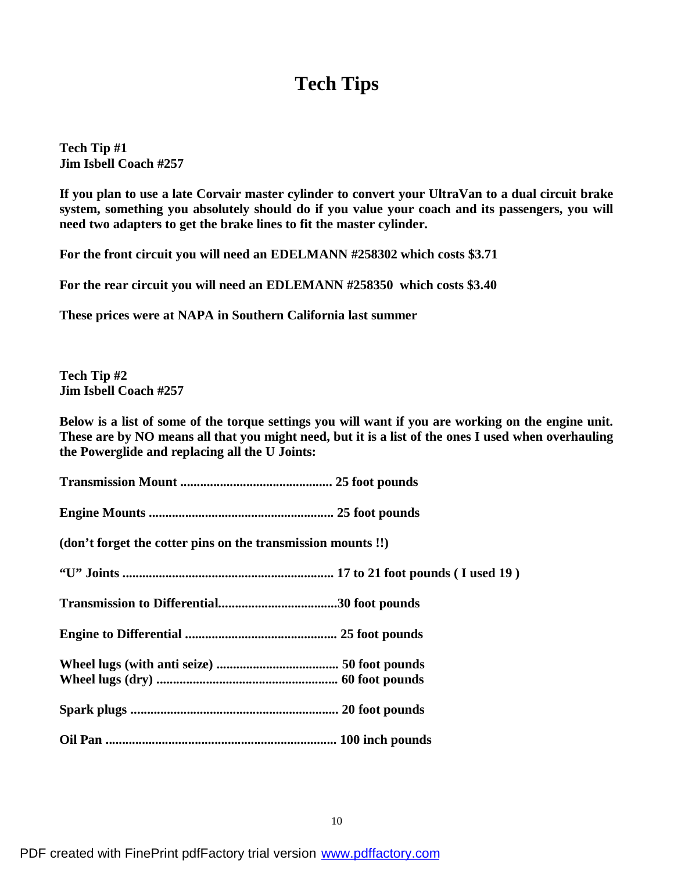## **Tech Tips**

**Tech Tip #1 Jim Isbell Coach #257**

If you plan to use a late Corvair master cylinder to convert your UltraVan to a dual circuit brake **system, something you absolutely should do if you value your coach and its passengers, you will need two adapters to get the brake lines to fit the master cylinder.**

**For the front circuit you will need an EDELMANN #258302 which costs \$3.71**

**For the rear circuit you will need an EDLEMANN #258350 which costs \$3.40**

**These prices were at NAPA in Southern California last summer**

**Tech Tip #2 Jim Isbell Coach #257**

Below is a list of some of the torque settings you will want if you are working on the engine unit. These are by NO means all that you might need, but it is a list of the ones I used when overhauling **the Powerglide and replacing all the U Joints:**

**Transmission Mount .............................................. 25 foot pounds Engine Mounts ........................................................ 25 foot pounds**

**(don't forget the cotter pins on the transmission mounts !!)**

**"U" Joints ................................................................ 17 to 21 foot pounds ( I used 19 )**

**Transmission to Differential....................................30 foot pounds**

**Engine to Differential .............................................. 25 foot pounds**

**Wheel lugs (with anti seize) ..................................... 50 foot pounds**

**Wheel lugs (dry) ....................................................... 60 foot pounds**

**Spark plugs ............................................................... 20 foot pounds**

**Oil Pan ...................................................................... 100 inch pounds**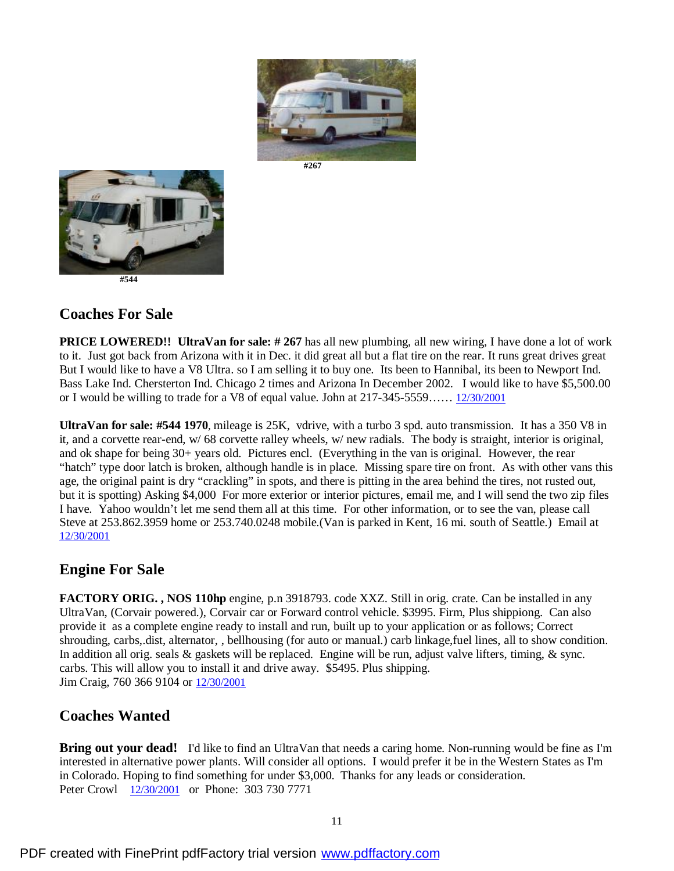





 **#544**

#### **Coaches For Sale**

**PRICE LOWERED!! UltraVan for sale: # 267** has all new plumbing, all new wiring, I have done a lot of work to it. Just got back from Arizona with it in Dec. it did great all but a flat tire on the rear. It runs great drives great But I would like to have a V8 Ultra. so I am selling it to buy one. Its been to Hannibal, its been to Newport Ind. Bass Lake Ind. Chersterton Ind. Chicago 2 times and Arizona In December 2002. I would like to have \$5,500.00 or I would be willing to trade for a V8 of equal value. John at 217-345-5559…… 12/30/2001

**UltraVan for sale: #544 1970**, mileage is 25K, vdrive, with a turbo 3 spd. auto transmission. It has a 350 V8 in it, and a corvette rear-end, w/ 68 corvette ralley wheels, w/ new radials. The body is straight, interior is original, and ok shape for being 30+ years old. Pictures encl. (Everything in the van is original. However, the rear "hatch" type door latch is broken, although handle is in place. Missing spare tire on front. As with other vans this age, the original paint is dry "crackling" in spots, and there is pitting in the area behind the tires, not rusted out, but it is spotting) Asking \$4,000 For more exterior or interior pictures, email me, and I will send the two zip files I have. Yahoo wouldn't let me send them all at this time. For other information, or to see the van, please call Steve at 253.862.3959 home or 253.740.0248 mobile.(Van is parked in Kent, 16 mi. south of Seattle.) Email at 12/30/2001

#### **Engine For Sale**

**FACTORY ORIG. , NOS 110hp** engine, p.n 3918793. code XXZ. Still in orig. crate. Can be installed in any UltraVan, (Corvair powered.), Corvair car or Forward control vehicle. \$3995. Firm, Plus shippiong. Can also provide it as a complete engine ready to install and run, built up to your application or as follows; Correct shrouding, carbs,.dist, alternator, , bellhousing (for auto or manual.) carb linkage,fuel lines, all to show condition. In addition all orig. seals  $\&$  gaskets will be replaced. Engine will be run, adjust valve lifters, timing,  $\&$  sync. carbs. This will allow you to install it and drive away. \$5495. Plus shipping. Jim Craig, 760 366 9104 or 12/30/2001

### **Coaches Wanted**

**Bring out your dead!** I'd like to find an UltraVan that needs a caring home. Non-running would be fine as I'm interested in alternative power plants. Will consider all options. I would prefer it be in the Western States as I'm in Colorado. Hoping to find something for under \$3,000. Thanks for any leads or consideration. Peter Crowl 12/30/2001 or Phone: 303 730 7771